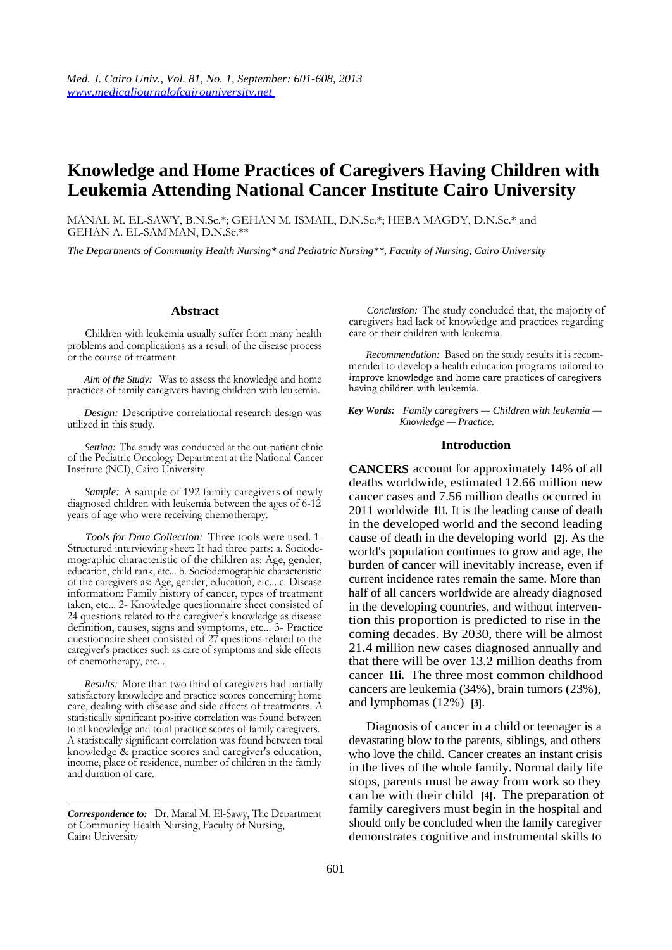# **Knowledge and Home Practices of Caregivers Having Children with Leukemia Attending National Cancer Institute Cairo University**

MANAL M. EL-SAWY, B.N.Sc.\*; GEHAN M. ISMAIL, D.N.Sc.\*; HEBA MAGDY, D.N.Sc.\* and GEHAN A. EL-SAMMAN, D.N.Sc.\*\*

*The Departments of Community Health Nursing\* and Pediatric Nursing\*\*, Faculty of Nursing, Cairo University* 

## **Abstract**

Children with leukemia usually suffer from many health problems and complications as a result of the disease process or the course of treatment.

*Aim of the Study:* Was to assess the knowledge and home practices of family caregivers having children with leukemia.

*Design:* Descriptive correlational research design was utilized in this study.

*Setting:* The study was conducted at the out-patient clinic of the Pediatric Oncology Department at the National Cancer Institute (NCI), Cairo University.

*Sample:* A sample of 192 family caregivers of newly diagnosed children with leukemia between the ages of 6-12 years of age who were receiving chemotherapy.

*Tools for Data Collection:* Three tools were used. 1- Structured interviewing sheet: It had three parts: a. Sociodemographic characteristic of the children as: Age, gender, education, child rank, etc... b. Sociodemographic characteristic of the caregivers as: Age, gender, education, etc... c. Disease information: Family history of cancer, types of treatment taken, etc... 2- Knowledge questionnaire sheet consisted of 24 questions related to the caregiver's knowledge as disease definition, causes, signs and symptoms, etc... 3- Practice questionnaire sheet consisted of 27 questions related to the caregiver's practices such as care of symptoms and side effects of chemotherapy, etc...

*Results:* More than two third of caregivers had partially satisfactory knowledge and practice scores concerning home care, dealing with disease and side effects of treatments. A statistically significant positive correlation was found between total knowledge and total practice scores of family caregivers. A statistically significant correlation was found between total knowledge & practice scores and caregiver's education, income, place of residence, number of children in the family and duration of care.

*Conclusion:* The study concluded that, the majority of caregivers had lack of knowledge and practices regarding care of their children with leukemia.

*Recommendation:* Based on the study results it is recommended to develop a health education programs tailored to improve knowledge and home care practices of caregivers having children with leukemia.

*Key Words: Family caregivers — Children with leukemia — Knowledge — Practice.* 

#### **Introduction**

**CANCERS** account for approximately 14% of all deaths worldwide, estimated 12.66 million new cancer cases and 7.56 million deaths occurred in 2011 worldwide **111.** It is the leading cause of death in the developed world and the second leading cause of death in the developing world **[2].** As the world's population continues to grow and age, the burden of cancer will inevitably increase, even if current incidence rates remain the same. More than half of all cancers worldwide are already diagnosed in the developing countries, and without intervention this proportion is predicted to rise in the coming decades. By 2030, there will be almost 21.4 million new cases diagnosed annually and that there will be over 13.2 million deaths from cancer **Hi.** The three most common childhood cancers are leukemia (34%), brain tumors (23%), and lymphomas (12%) **[3].** 

Diagnosis of cancer in a child or teenager is a devastating blow to the parents, siblings, and others who love the child. Cancer creates an instant crisis in the lives of the whole family. Normal daily life stops, parents must be away from work so they can be with their child **[4].** The preparation of family caregivers must begin in the hospital and should only be concluded when the family caregiver demonstrates cognitive and instrumental skills to

*Correspondence to:* Dr. Manal M. El-Sawy, The Department of Community Health Nursing, Faculty of Nursing, Cairo University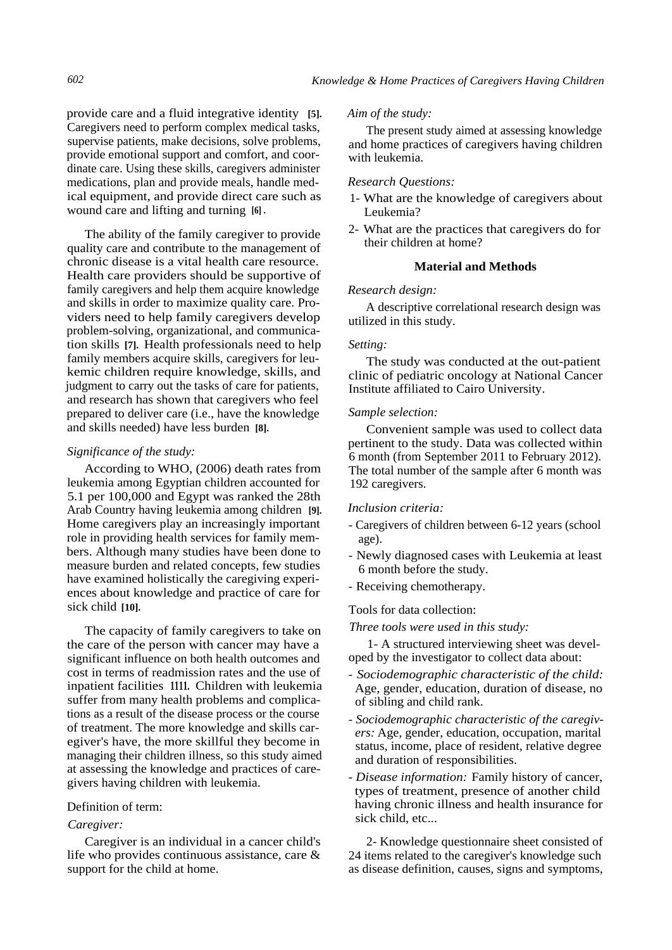provide care and a fluid integrative identity **[5].**  Caregivers need to perform complex medical tasks, supervise patients, make decisions, solve problems, provide emotional support and comfort, and coordinate care. Using these skills, caregivers administer medications, plan and provide meals, handle medical equipment, and provide direct care such as wound care and lifting and turning **[6] .** 

The ability of the family caregiver to provide quality care and contribute to the management of chronic disease is a vital health care resource. Health care providers should be supportive of family caregivers and help them acquire knowledge and skills in order to maximize quality care. Providers need to help family caregivers develop problem-solving, organizational, and communication skills **[7].** Health professionals need to help family members acquire skills, caregivers for leukemic children require knowledge, skills, and judgment to carry out the tasks of care for patients, and research has shown that caregivers who feel prepared to deliver care (i.e., have the knowledge and skills needed) have less burden **[8].** 

## *Significance of the study:*

According to WHO, (2006) death rates from leukemia among Egyptian children accounted for 5.1 per 100,000 and Egypt was ranked the 28th Arab Country having leukemia among children **[9].**  Home caregivers play an increasingly important role in providing health services for family members. Although many studies have been done to measure burden and related concepts, few studies have examined holistically the caregiving experiences about knowledge and practice of care for sick child **[10].** 

The capacity of family caregivers to take on the care of the person with cancer may have a significant influence on both health outcomes and cost in terms of readmission rates and the use of inpatient facilities **1111.** Children with leukemia suffer from many health problems and complications as a result of the disease process or the course of treatment. The more knowledge and skills caregiver's have, the more skillful they become in managing their children illness, so this study aimed at assessing the knowledge and practices of caregivers having children with leukemia.

## Definition of term:

## *Caregiver:*

Caregiver is an individual in a cancer child's life who provides continuous assistance, care & support for the child at home.

#### *Aim of the study:*

The present study aimed at assessing knowledge and home practices of caregivers having children with leukemia.

## *Research Questions:*

- 1- What are the knowledge of caregivers about Leukemia?
- 2- What are the practices that caregivers do for their children at home?

# **Material and Methods**

#### *Research design:*

A descriptive correlational research design was utilized in this study.

#### *Setting:*

The study was conducted at the out-patient clinic of pediatric oncology at National Cancer Institute affiliated to Cairo University.

## *Sample selection:*

Convenient sample was used to collect data pertinent to the study. Data was collected within 6 month (from September 2011 to February 2012). The total number of the sample after 6 month was 192 caregivers.

## *Inclusion criteria:*

- Caregivers of children between 6-12 years (school age).
- Newly diagnosed cases with Leukemia at least 6 month before the study.
- Receiving chemotherapy.

# Tools for data collection:

*Three tools were used in this study:* 

1- A structured interviewing sheet was developed by the investigator to collect data about:

- *- Sociodemographic characteristic of the child:*  Age, gender, education, duration of disease, no of sibling and child rank.
- *- Sociodemographic characteristic of the caregivers:* Age, gender, education, occupation, marital status, income, place of resident, relative degree and duration of responsibilities.
- *- Disease information:* Family history of cancer, types of treatment, presence of another child having chronic illness and health insurance for sick child, etc...

2- Knowledge questionnaire sheet consisted of 24 items related to the caregiver's knowledge such as disease definition, causes, signs and symptoms,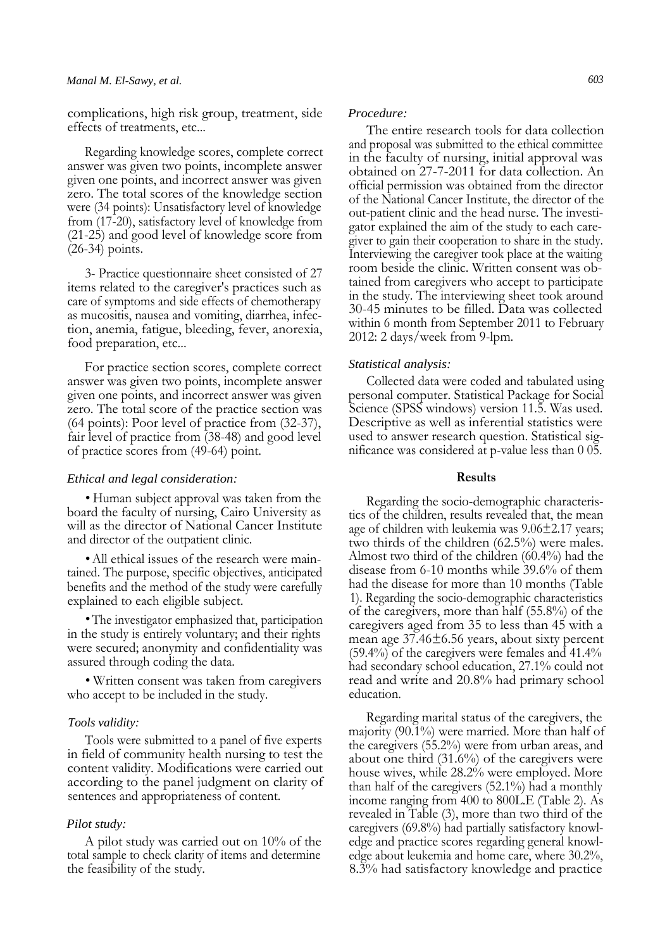complications, high risk group, treatment, side effects of treatments, etc...

Regarding knowledge scores, complete correct answer was given two points, incomplete answer given one points, and incorrect answer was given zero. The total scores of the knowledge section were (34 points): Unsatisfactory level of knowledge from (17-20), satisfactory level of knowledge from (21-25) and good level of knowledge score from (26-34) points.

3- Practice questionnaire sheet consisted of 27 items related to the caregiver's practices such as care of symptoms and side effects of chemotherapy as mucositis, nausea and vomiting, diarrhea, infection, anemia, fatigue, bleeding, fever, anorexia, food preparation, etc...

For practice section scores, complete correct answer was given two points, incomplete answer given one points, and incorrect answer was given zero. The total score of the practice section was (64 points): Poor level of practice from (32-37), fair level of practice from (38-48) and good level of practice scores from (49-64) point.

# *Ethical and legal consideration:*

• Human subject approval was taken from the board the faculty of nursing, Cairo University as will as the director of National Cancer Institute and director of the outpatient clinic.

• All ethical issues of the research were maintained. The purpose, specific objectives, anticipated benefits and the method of the study were carefully explained to each eligible subject.

•The investigator emphasized that, participation in the study is entirely voluntary; and their rights were secured; anonymity and confidentiality was assured through coding the data.

• Written consent was taken from caregivers who accept to be included in the study.

## *Tools validity:*

Tools were submitted to a panel of five experts in field of community health nursing to test the content validity. Modifications were carried out according to the panel judgment on clarity of sentences and appropriateness of content.

## *Pilot study:*

A pilot study was carried out on 10% of the total sample to check clarity of items and determine the feasibility of the study.

#### *Procedure:*

The entire research tools for data collection and proposal was submitted to the ethical committee in the faculty of nursing, initial approval was obtained on 27-7-2011 for data collection. An official permission was obtained from the director of the National Cancer Institute, the director of the out-patient clinic and the head nurse. The investigator explained the aim of the study to each caregiver to gain their cooperation to share in the study. Interviewing the caregiver took place at the waiting room beside the clinic. Written consent was obtained from caregivers who accept to participate in the study. The interviewing sheet took around 30-45 minutes to be filled. Data was collected within 6 month from September 2011 to February 2012: 2 days/week from 9-lpm.

## *Statistical analysis:*

Collected data were coded and tabulated using personal computer. Statistical Package for Social Science (SPSS windows) version 11.5. Was used. Descriptive as well as inferential statistics were used to answer research question. Statistical significance was considered at p-value less than 0 05.

#### **Results**

Regarding the socio-demographic characteristics of the children, results revealed that, the mean age of children with leukemia was 9.06±2.17 years; two thirds of the children (62.5%) were males. Almost two third of the children (60.4%) had the disease from 6-10 months while 39.6% of them had the disease for more than 10 months (Table 1). Regarding the socio-demographic characteristics of the caregivers, more than half (55.8%) of the caregivers aged from 35 to less than 45 with a mean age 37.46±6.56 years, about sixty percent (59.4%) of the caregivers were females and 41.4% had secondary school education, 27.1% could not read and write and 20.8% had primary school education.

Regarding marital status of the caregivers, the majority (90.1%) were married. More than half of the caregivers (55.2%) were from urban areas, and about one third (31.6%) of the caregivers were house wives, while 28.2% were employed. More than half of the caregivers (52.1%) had a monthly income ranging from 400 to 800L.E (Table 2). As revealed in Table (3), more than two third of the caregivers (69.8%) had partially satisfactory knowledge and practice scores regarding general knowledge about leukemia and home care, where 30.2%, 8.3% had satisfactory knowledge and practice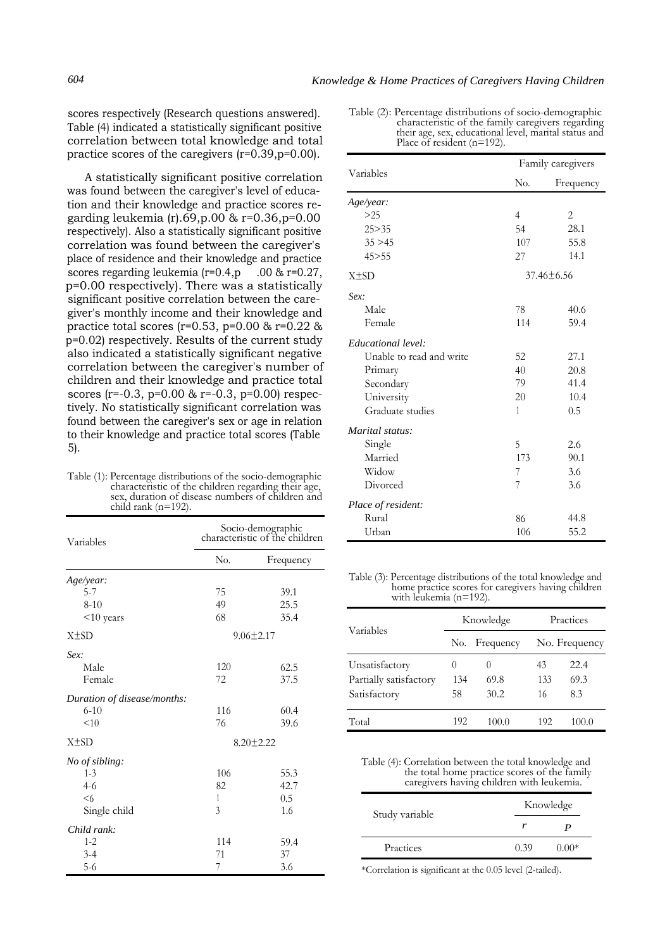Place of resident (n=192).

Table (2): Percentage distributions of socio-demographic

characteristic of the family caregivers regarding their age, sex, educational level, marital status and

scores respectively (Research questions answered). Table (4) indicated a statistically significant positive correlation between total knowledge and total practice scores of the caregivers (r=0.39,p=0.00).

A statistically significant positive correlation was found between the caregiver's level of education and their knowledge and practice scores regarding leukemia (r).69,p.00 & r=0.36,p=0.00 respectively). Also a statistically significant positive correlation was found between the caregiver's place of residence and their knowledge and practice scores regarding leukemia  $(r=0.4, p$  . 00 &  $r=0.27$ , p=0.00 respectively). There was a statistically significant positive correlation between the caregiver's monthly income and their knowledge and practice total scores ( $r=0.53$ ,  $p=0.00$  &  $r=0.22$  & p=0.02) respectively. Results of the current study also indicated a statistically significant negative correlation between the caregiver's number of children and their knowledge and practice total scores (r=-0.3, p=0.00 & r=-0.3, p=0.00) respectively. No statistically significant correlation was found between the caregiver's sex or age in relation to their knowledge and practice total scores (Table 5).

Table (1): Percentage distributions of the socio-demographic characteristic of the children regarding their age, sex, duration of disease numbers of children and child rank (n=192).

| Variables                   | Socio-demographic<br>characteristic of the children |           |  |
|-----------------------------|-----------------------------------------------------|-----------|--|
|                             | N <sub>0</sub> .                                    | Frequency |  |
| Age/year:                   |                                                     |           |  |
| $5 - 7$                     | 75                                                  | 39.1      |  |
| $8 - 10$                    | 49                                                  | 25.5      |  |
| <10 years                   | 68                                                  | 35.4      |  |
| $X \pm SD$                  | $9.06 \pm 2.17$                                     |           |  |
| Sex:                        |                                                     |           |  |
| Male                        | 120                                                 | 62.5      |  |
| Female                      | 72                                                  | 37.5      |  |
| Duration of disease/months: |                                                     |           |  |
| $6 - 10$                    | 116                                                 | 60.4      |  |
| < 10                        | 76                                                  | 39.6      |  |
| $X \pm SD$                  | $8.20 \pm 2.22$                                     |           |  |
| No of sibling:              |                                                     |           |  |
| $1 - 3$                     | 106                                                 | 55.3      |  |
| $4-6$                       | 82                                                  | 42.7      |  |
| <6                          | 1                                                   | 0.5       |  |
| Single child                | 3                                                   | 1.6       |  |
| Child rank:                 |                                                     |           |  |
| $1 - 2$                     | 114                                                 | 59.4      |  |
| $3 - 4$                     | 71                                                  | 37        |  |
| $5-6$                       | 7                                                   | 3.6       |  |

| Variables                |                  | Family caregivers |  |  |
|--------------------------|------------------|-------------------|--|--|
|                          | N <sub>0</sub> . | Frequency         |  |  |
| Age/year:                |                  |                   |  |  |
| >25                      | $\overline{4}$   | 2                 |  |  |
| 25 > 35                  | 54               | 28.1              |  |  |
| 35 > 45                  | 107              | 55.8              |  |  |
| 45 > 55                  | 27               | 14.1              |  |  |
| $X \pm SD$               |                  | $37.46 \pm 6.56$  |  |  |
| Sex:                     |                  |                   |  |  |
| Male                     | 78               | 40.6              |  |  |
| Female                   | 114              | 59.4              |  |  |
| Educational level:       |                  |                   |  |  |
| Unable to read and write | 52               | 27.1              |  |  |
| Primary                  | 40               | 20.8              |  |  |
| Secondary                | 79               | 41.4              |  |  |
| University               | 20               | 10.4              |  |  |
| Graduate studies         | 1                | 0.5               |  |  |
| Marital status:          |                  |                   |  |  |
| Single                   | 5                | 2.6               |  |  |
| Married                  | 173              | 90.1              |  |  |
| Widow                    | 7                | 3.6               |  |  |
| Divorced                 | 7                | 3.6               |  |  |
| Place of resident:       |                  |                   |  |  |
| Rural                    | 86               | 44.8              |  |  |
| Urban                    | 106              | 55.2              |  |  |

Table (3): Percentage distributions of the total knowledge and home practice scores for caregivers having children with leukemia (n=192).

| Variables              | Knowledge        |           | Practices     |       |
|------------------------|------------------|-----------|---------------|-------|
|                        | No.              | Frequency | No. Frequency |       |
| Unsatisfactory         | $\left( \right)$ | $\theta$  | 43            | 22.4  |
| Partially satisfactory | 134              | 69.8      | 133           | 69.3  |
| Satisfactory           | 58               | 30.2      | 16            | 8.3   |
| Total                  | 192              | 100.0     | 192           | 100.0 |

Table (4): Correlation between the total knowledge and the total home practice scores of the family caregivers having children with leukemia.

| Study variable |      | Knowledge |  |  |
|----------------|------|-----------|--|--|
|                |      |           |  |  |
| Practices      | 0.39 | $(100)*$  |  |  |

\*Correlation is significant at the 0.05 level (2-tailed).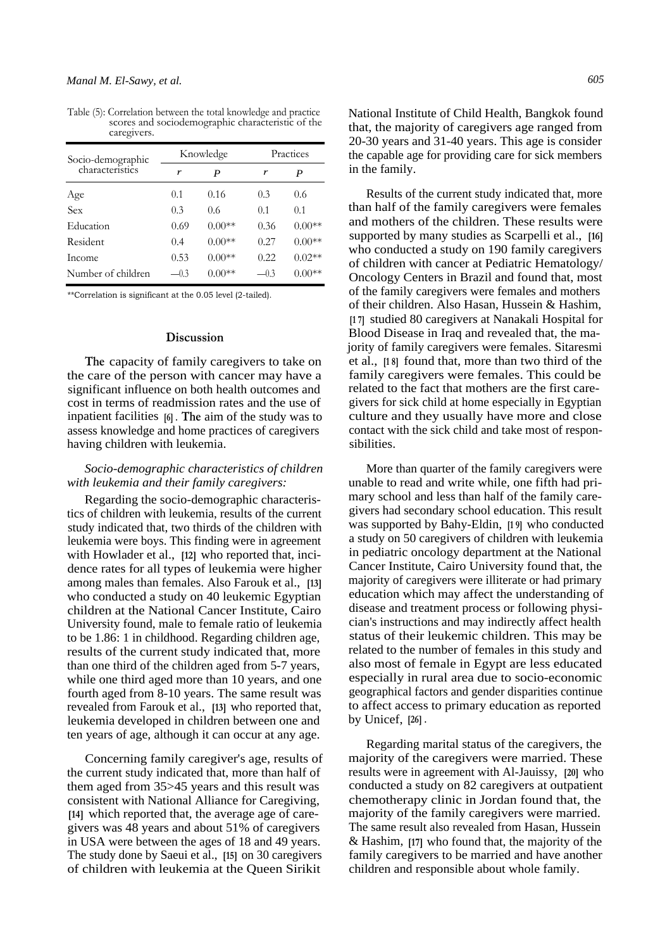| $\alpha$ Legively.                   |           |          |           |          |
|--------------------------------------|-----------|----------|-----------|----------|
| Socio-demographic<br>characteristics | Knowledge |          | Practices |          |
|                                      | r         | P        | r         | P        |
| Age                                  | 0.1       | 0.16     | 0.3       | 0.6      |
| Sex                                  | 0.3       | 0.6      | 0.1       | 0.1      |
| Education                            | 0.69      | $0.00**$ | 0.36      | $0.00**$ |
| Resident                             | 0.4       | $0.00**$ | 0.27      | $0.00**$ |
| Income                               | 0.53      | $0.00**$ | 0.22      | $0.02**$ |
| Number of children                   | $-0.3$    | $0.00**$ | $-0.3$    | $0.00**$ |

Table (5): Correlation between the total knowledge and practice scores and sociodemographic characteristic of the caregivers.

\*\*Correlation is significant at the 0.05 level (2-tailed).

#### **Discussion**

**The** capacity of family caregivers to take on the care of the person with cancer may have a significant influence on both health outcomes and cost in terms of readmission rates and the use of inpatient facilities **[6] . The** aim of the study was to assess knowledge and home practices of caregivers having children with leukemia.

# *Socio-demographic characteristics of children with leukemia and their family caregivers:*

Regarding the socio-demographic characteristics of children with leukemia, results of the current study indicated that, two thirds of the children with leukemia were boys. This finding were in agreement with Howlader et al., **[12]** who reported that, incidence rates for all types of leukemia were higher among males than females. Also Farouk et al., **[13]**  who conducted a study on 40 leukemic Egyptian children at the National Cancer Institute, Cairo University found, male to female ratio of leukemia to be 1.86: 1 in childhood. Regarding children age, results of the current study indicated that, more than one third of the children aged from 5-7 years, while one third aged more than 10 years, and one fourth aged from 8-10 years. The same result was revealed from Farouk et al., **[13]** who reported that, leukemia developed in children between one and ten years of age, although it can occur at any age.

Concerning family caregiver's age, results of the current study indicated that, more than half of them aged from 35>45 years and this result was consistent with National Alliance for Caregiving, **[14]** which reported that, the average age of caregivers was 48 years and about 51% of caregivers in USA were between the ages of 18 and 49 years. The study done by Saeui et al., **[15]** on 30 caregivers of children with leukemia at the Queen Sirikit

National Institute of Child Health, Bangkok found that, the majority of caregivers age ranged from 20-30 years and 31-40 years. This age is consider the capable age for providing care for sick members in the family.

Results of the current study indicated that, more than half of the family caregivers were females and mothers of the children. These results were supported by many studies as Scarpelli et al., **[16]**  who conducted a study on 190 family caregivers of children with cancer at Pediatric Hematology/ Oncology Centers in Brazil and found that, most of the family caregivers were females and mothers of their children. Also Hasan, Hussein & Hashim, **[1 7]** studied 80 caregivers at Nanakali Hospital for Blood Disease in Iraq and revealed that, the majority of family caregivers were females. Sitaresmi et al., **[1 8]** found that, more than two third of the family caregivers were females. This could be related to the fact that mothers are the first caregivers for sick child at home especially in Egyptian culture and they usually have more and close contact with the sick child and take most of responsibilities.

More than quarter of the family caregivers were unable to read and write while, one fifth had primary school and less than half of the family caregivers had secondary school education. This result was supported by Bahy-Eldin, **[1 9]** who conducted a study on 50 caregivers of children with leukemia in pediatric oncology department at the National Cancer Institute, Cairo University found that, the majority of caregivers were illiterate or had primary education which may affect the understanding of disease and treatment process or following physician's instructions and may indirectly affect health status of their leukemic children. This may be related to the number of females in this study and also most of female in Egypt are less educated especially in rural area due to socio-economic geographical factors and gender disparities continue to affect access to primary education as reported by Unicef, **[26] .** 

Regarding marital status of the caregivers, the majority of the caregivers were married. These results were in agreement with Al-Jauissy, **[20]** who conducted a study on 82 caregivers at outpatient chemotherapy clinic in Jordan found that, the majority of the family caregivers were married. The same result also revealed from Hasan, Hussein & Hashim, **[17]** who found that, the majority of the family caregivers to be married and have another children and responsible about whole family.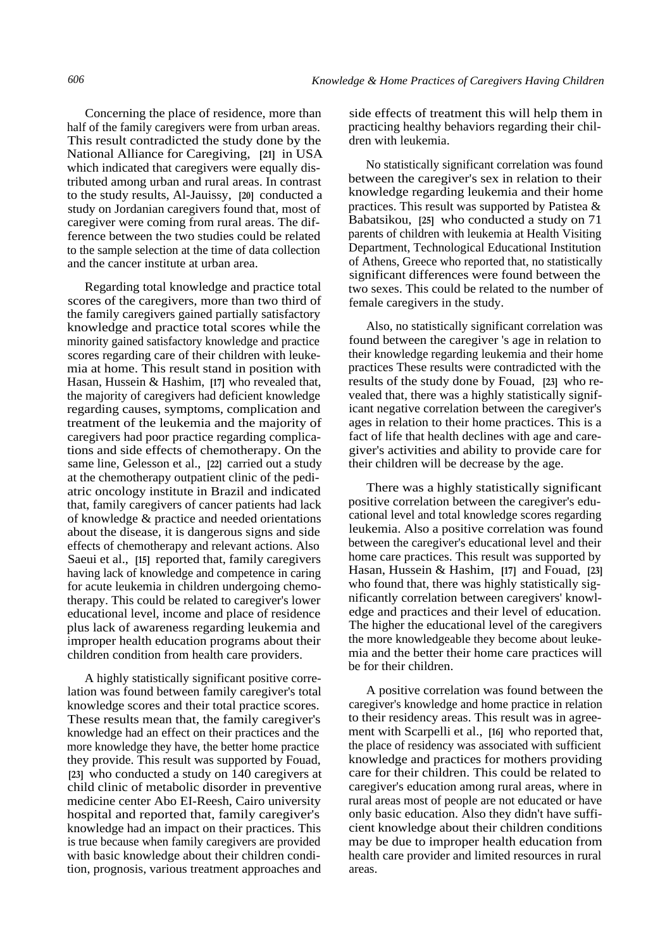Concerning the place of residence, more than half of the family caregivers were from urban areas. This result contradicted the study done by the National Alliance for Caregiving, **[21]** in USA which indicated that caregivers were equally distributed among urban and rural areas. In contrast to the study results, Al-Jauissy, **[20]** conducted a study on Jordanian caregivers found that, most of caregiver were coming from rural areas. The difference between the two studies could be related to the sample selection at the time of data collection and the cancer institute at urban area.

Regarding total knowledge and practice total scores of the caregivers, more than two third of the family caregivers gained partially satisfactory knowledge and practice total scores while the minority gained satisfactory knowledge and practice scores regarding care of their children with leukemia at home. This result stand in position with Hasan, Hussein & Hashim, **[17]** who revealed that, the majority of caregivers had deficient knowledge regarding causes, symptoms, complication and treatment of the leukemia and the majority of caregivers had poor practice regarding complications and side effects of chemotherapy. On the same line, Gelesson et al., **[22]** carried out a study at the chemotherapy outpatient clinic of the pediatric oncology institute in Brazil and indicated that, family caregivers of cancer patients had lack of knowledge & practice and needed orientations about the disease, it is dangerous signs and side effects of chemotherapy and relevant actions. Also Saeui et al., **[15]** reported that, family caregivers having lack of knowledge and competence in caring for acute leukemia in children undergoing chemotherapy. This could be related to caregiver's lower educational level, income and place of residence plus lack of awareness regarding leukemia and improper health education programs about their children condition from health care providers.

A highly statistically significant positive correlation was found between family caregiver's total knowledge scores and their total practice scores. These results mean that, the family caregiver's knowledge had an effect on their practices and the more knowledge they have, the better home practice they provide. This result was supported by Fouad, **[23]** who conducted a study on 140 caregivers at child clinic of metabolic disorder in preventive medicine center Abo EI-Reesh, Cairo university hospital and reported that, family caregiver's knowledge had an impact on their practices. This is true because when family caregivers are provided with basic knowledge about their children condition, prognosis, various treatment approaches and

side effects of treatment this will help them in practicing healthy behaviors regarding their children with leukemia.

No statistically significant correlation was found between the caregiver's sex in relation to their knowledge regarding leukemia and their home practices. This result was supported by Patistea & Babatsikou, **[25]** who conducted a study on 71 parents of children with leukemia at Health Visiting Department, Technological Educational Institution of Athens, Greece who reported that, no statistically significant differences were found between the two sexes. This could be related to the number of female caregivers in the study.

Also, no statistically significant correlation was found between the caregiver 's age in relation to their knowledge regarding leukemia and their home practices These results were contradicted with the results of the study done by Fouad, **[23]** who revealed that, there was a highly statistically significant negative correlation between the caregiver's ages in relation to their home practices. This is a fact of life that health declines with age and caregiver's activities and ability to provide care for their children will be decrease by the age.

There was a highly statistically significant positive correlation between the caregiver's educational level and total knowledge scores regarding leukemia. Also a positive correlation was found between the caregiver's educational level and their home care practices. This result was supported by Hasan, Hussein & Hashim, **[17]** and Fouad, **[23]**  who found that, there was highly statistically significantly correlation between caregivers' knowledge and practices and their level of education. The higher the educational level of the caregivers the more knowledgeable they become about leukemia and the better their home care practices will be for their children.

A positive correlation was found between the caregiver's knowledge and home practice in relation to their residency areas. This result was in agreement with Scarpelli et al., **[16]** who reported that, the place of residency was associated with sufficient knowledge and practices for mothers providing care for their children. This could be related to caregiver's education among rural areas, where in rural areas most of people are not educated or have only basic education. Also they didn't have sufficient knowledge about their children conditions may be due to improper health education from health care provider and limited resources in rural areas.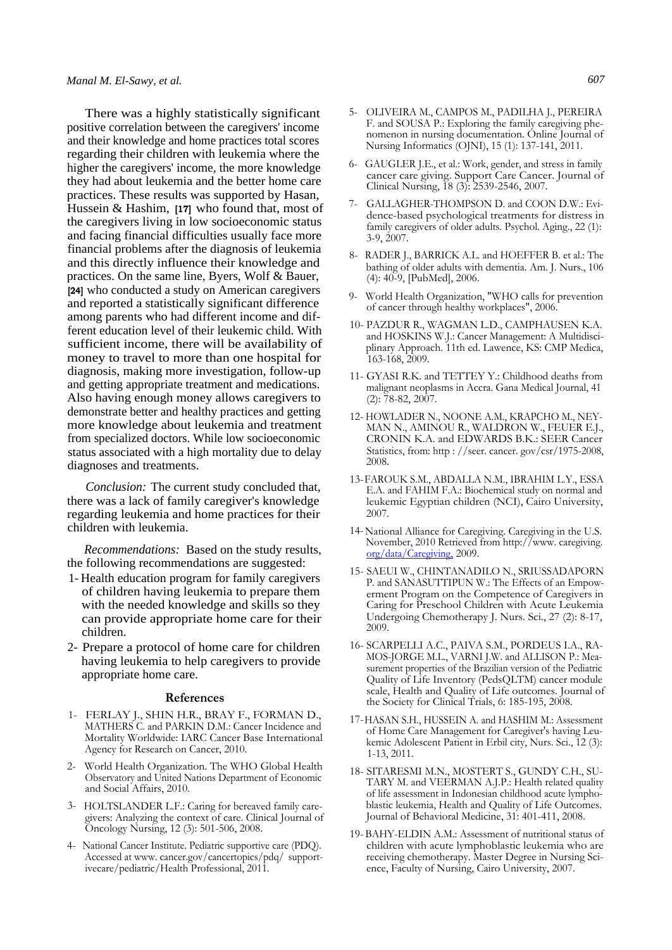There was a highly statistically significant positive correlation between the caregivers' income and their knowledge and home practices total scores regarding their children with leukemia where the higher the caregivers' income, the more knowledge they had about leukemia and the better home care practices. These results was supported by Hasan, Hussein & Hashim, **[17]** who found that, most of the caregivers living in low socioeconomic status and facing financial difficulties usually face more financial problems after the diagnosis of leukemia and this directly influence their knowledge and practices. On the same line, Byers, Wolf & Bauer, **[24]** who conducted a study on American caregivers and reported a statistically significant difference among parents who had different income and different education level of their leukemic child. With sufficient income, there will be availability of money to travel to more than one hospital for diagnosis, making more investigation, follow-up and getting appropriate treatment and medications. Also having enough money allows caregivers to demonstrate better and healthy practices and getting more knowledge about leukemia and treatment from specialized doctors. While low socioeconomic status associated with a high mortality due to delay diagnoses and treatments.

*Conclusion:* The current study concluded that, there was a lack of family caregiver's knowledge regarding leukemia and home practices for their children with leukemia.

*Recommendations:* Based on the study results, the following recommendations are suggested:

- 1- Health education program for family caregivers of children having leukemia to prepare them with the needed knowledge and skills so they can provide appropriate home care for their children.
- 2- Prepare a protocol of home care for children having leukemia to help caregivers to provide appropriate home care.

#### **References**

- 1- FERLAY J., SHIN H.R., BRAY F., FORMAN D., MATHERS C. and PARKIN D.M.: Cancer Incidence and Mortality Worldwide: IARC Cancer Base International Agency for Research on Cancer, 2010.
- 2- World Health Organization. The WHO Global Health Observatory and United Nations Department of Economic and Social Affairs, 2010.
- 3- HOLTSLANDER L.F.: Caring for bereaved family caregivers: Analyzing the context of care. Clinical Journal of Oncology Nursing, 12 (3): 501-506, 2008.
- 4- National Cancer Institute. Pediatric supportive care (PDQ). Accessed at www. cancer.gov/cancertopics/pdq/ supportivecare/pediatric/Health Professional, 2011.
- 5- OLIVEIRA M., CAMPOS M., PADILHA J., PEREIRA F. and SOUSA P.: Exploring the family caregiving phenomenon in nursing documentation. Online Journal of Nursing Informatics (OJNI), 15 (1): 137-141, 2011.
- 6- GAUGLER J.E., et al.: Work, gender, and stress in family cancer care giving. Support Care Cancer. Journal of Clinical Nursing, 18 (3): 2539-2546, 2007.
- 7- GALLAGHER-THOMPSON D. and COON D.W.: Evidence-based psychological treatments for distress in family caregivers of older adults. Psychol. Aging., 22 (1): 3-9, 2007.
- 8- RADER J., BARRICK A.L. and HOEFFER B. et al.: The bathing of older adults with dementia. Am. J. Nurs., 106 (4): 40-9, [PubMed], 2006.
- 9- World Health Organization, "WHO calls for prevention of cancer through healthy workplaces", 2006.
- 10- PAZDUR R., WAGMAN L.D., CAMPHAUSEN K.A. and HOSKINS W.J.: Cancer Management: A Multidisciplinary Approach. 11th ed. Lawence, KS: CMP Medica, 163-168, 2009.
- 11- GYASI R.K. and TETTEY Y.: Childhood deaths from malignant neoplasms in Accra. Gana Medical Journal, 41  $(2)$ : 78-82, 2007.
- 12- HOWLADER N., NOONE A.M., KRAPCHO M., NEY-MAN N., AMINOU R., WALDRON W., FEUER E.J., CRONIN K.A. and EDWARDS B.K.: SEER Cancer Statistics, from: http : //seer. cancer. gov/csr/1975-2008, 2008.
- 13-FAROUK S.M., ABDALLA N.M., IBRAHIM L.Y., ESSA E.A. and FAHIM F.A.: Biochemical study on normal and leukemic Egyptian children (NCI), Cairo University, 2007.
- 14-National Alliance for Caregiving. Caregiving in the U.S. November, 2010 Retrieved from http://www. caregiving. [org/data/Caregiving,](http://www.caregiving.org/data/Caregiving,) 2009.
- 15- SAEUI W., CHINTANADILO N., SRIUSSADAPORN P. and SANASUTTIPUN W.: The Effects of an Empowerment Program on the Competence of Caregivers in Caring for Preschool Children with Acute Leukemia Undergoing Chemotherapy J. Nurs. Sci., 27 (2): 8-17, 2009.
- 16- SCARPELLI A.C., PAIVA S.M., PORDEUS I.A., RA-MOS-JORGE M.L., VARNI J.W. and ALLISON P.: Measurement properties of the Brazilian version of the Pediatric Quality of Life Inventory (PedsQLTM) cancer module scale, Health and Quality of Life outcomes. Journal of the Society for Clinical Trials, 6: 185-195, 2008.
- 17-HASAN S.H., HUSSEIN A. and HASHIM M.: Assessment of Home Care Management for Caregiver's having Leukemic Adolescent Patient in Erbil city, Nurs. Sci., 12 (3): 1-13, 2011.
- 18- SITARESMI M.N., MOSTERT S., GUNDY C.H., SU-TARY M. and VEERMAN A.J.P.: Health related quality of life assessment in Indonesian childhood acute lymphoblastic leukemia, Health and Quality of Life Outcomes. Journal of Behavioral Medicine, 31: 401-411, 2008.
- 19- BAHY-ELDIN A.M.: Assessment of nutritional status of children with acute lymphoblastic leukemia who are receiving chemotherapy. Master Degree in Nursing Science, Faculty of Nursing, Cairo University, 2007.